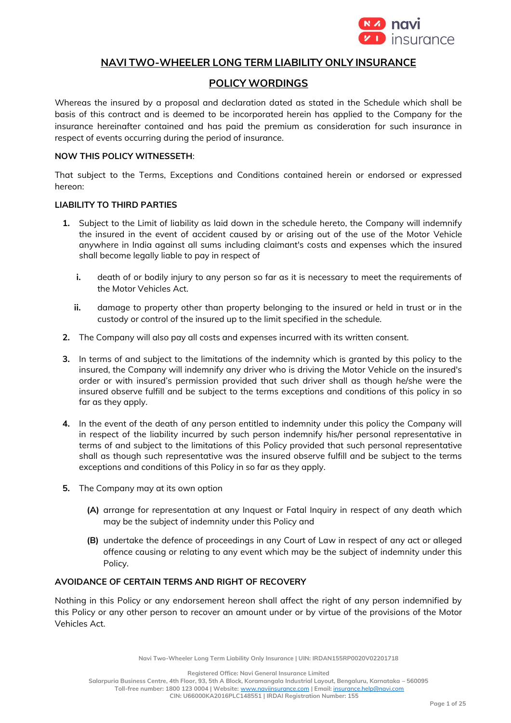

# **NAVI TWO-WHEELER LONG TERM LIABILITY ONLY INSURANCE**

# **POLICY WORDINGS**

Whereas the insured by a proposal and declaration dated as stated in the Schedule which shall be basis of this contract and is deemed to be incorporated herein has applied to the Company for the insurance hereinafter contained and has paid the premium as consideration for such insurance in respect of events occurring during the period of insurance.

# **NOW THIS POLICY WITNESSETH**:

That subject to the Terms, Exceptions and Conditions contained herein or endorsed or expressed hereon:

### **LIABILITY TO THIRD PARTIES**

- **1.** Subject to the Limit of liability as laid down in the schedule hereto, the Company will indemnify the insured in the event of accident caused by or arising out of the use of the Motor Vehicle anywhere in India against all sums including claimant's costs and expenses which the insured shall become legally liable to pay in respect of
	- **i.** death of or bodily injury to any person so far as it is necessary to meet the requirements of the Motor Vehicles Act.
	- **ii.** damage to property other than property belonging to the insured or held in trust or in the custody or control of the insured up to the limit specified in the schedule.
- **2.** The Company will also pay all costs and expenses incurred with its written consent.
- **3.** In terms of and subject to the limitations of the indemnity which is granted by this policy to the insured, the Company will indemnify any driver who is driving the Motor Vehicle on the insured's order or with insured's permission provided that such driver shall as though he/she were the insured observe fulfill and be subject to the terms exceptions and conditions of this policy in so far as they apply.
- **4.** In the event of the death of any person entitled to indemnity under this policy the Company will in respect of the liability incurred by such person indemnify his/her personal representative in terms of and subject to the limitations of this Policy provided that such personal representative shall as though such representative was the insured observe fulfill and be subject to the terms exceptions and conditions of this Policy in so far as they apply.
- **5.** The Company may at its own option
	- **(A)** arrange for representation at any Inquest or Fatal Inquiry in respect of any death which may be the subject of indemnity under this Policy and
	- **(B)** undertake the defence of proceedings in any Court of Law in respect of any act or alleged offence causing or relating to any event which may be the subject of indemnity under this Policy.

### **AVOIDANCE OF CERTAIN TERMS AND RIGHT OF RECOVERY**

Nothing in this Policy or any endorsement hereon shall affect the right of any person indemnified by this Policy or any other person to recover an amount under or by virtue of the provisions of the Motor Vehicles Act.

**Navi Two-Wheeler Long Term Liability Only Insurance | UIN: IRDAN155RP0020V02201718**

**Registered Office: Navi General Insurance Limited**

**Salarpuria Business Centre, 4th Floor, 93, 5th A Block, Koramangala Industrial Layout, Bengaluru, Karnataka – 560095 Toll-free number: 1800 123 0004 | Website:** [www.naviinsurance.com](http://www.naviinsurance.com/) **| Email:** [insurance.help@navi.com](mailto:insurance.help@navi.com)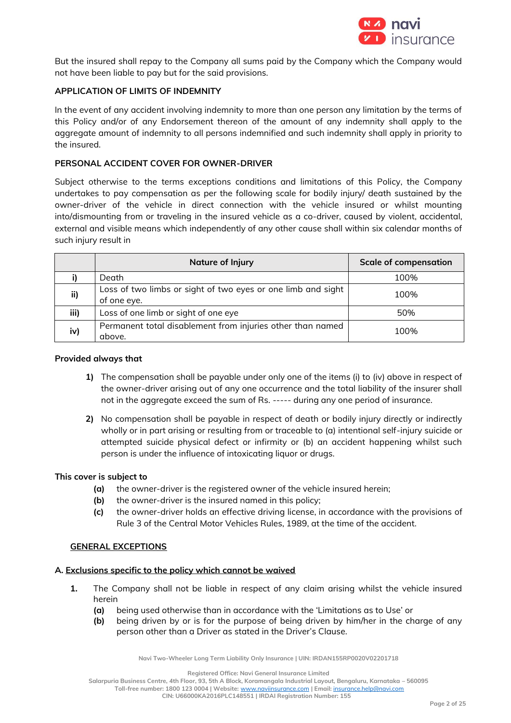

But the insured shall repay to the Company all sums paid by the Company which the Company would not have been liable to pay but for the said provisions.

## **APPLICATION OF LIMITS OF INDEMNITY**

In the event of any accident involving indemnity to more than one person any limitation by the terms of this Policy and/or of any Endorsement thereon of the amount of any indemnity shall apply to the aggregate amount of indemnity to all persons indemnified and such indemnity shall apply in priority to the insured.

## **PERSONAL ACCIDENT COVER FOR OWNER-DRIVER**

Subject otherwise to the terms exceptions conditions and limitations of this Policy, the Company undertakes to pay compensation as per the following scale for bodily injury/ death sustained by the owner-driver of the vehicle in direct connection with the vehicle insured or whilst mounting into/dismounting from or traveling in the insured vehicle as a co-driver, caused by violent, accidental, external and visible means which independently of any other cause shall within six calendar months of such injury result in

|      | Nature of Injury                                                            | <b>Scale of compensation</b> |
|------|-----------------------------------------------------------------------------|------------------------------|
|      | Death                                                                       | 100%                         |
| ii)  | Loss of two limbs or sight of two eyes or one limb and sight<br>of one eye. | 100%                         |
| iii) | Loss of one limb or sight of one eye                                        | 50%                          |
| iv)  | Permanent total disablement from injuries other than named<br>above.        | 100%                         |

### **Provided always that**

- **1)** The compensation shall be payable under only one of the items (i) to (iv) above in respect of the owner-driver arising out of any one occurrence and the total liability of the insurer shall not in the aggregate exceed the sum of Rs. ----- during any one period of insurance.
- **2)** No compensation shall be payable in respect of death or bodily injury directly or indirectly wholly or in part arising or resulting from or traceable to (a) intentional self-injury suicide or attempted suicide physical defect or infirmity or (b) an accident happening whilst such person is under the influence of intoxicating liquor or drugs.

## **This cover is subject to**

- **(a)** the owner-driver is the registered owner of the vehicle insured herein;
- **(b)** the owner-driver is the insured named in this policy;
- **(c)** the owner-driver holds an effective driving license, in accordance with the provisions of Rule 3 of the Central Motor Vehicles Rules, 1989, at the time of the accident.

## **GENERAL EXCEPTIONS**

## **A. Exclusions specific to the policy which cannot be waived**

- **1.** The Company shall not be liable in respect of any claim arising whilst the vehicle insured herein
	- **(a)** being used otherwise than in accordance with the 'Limitations as to Use' or
	- **(b)** being driven by or is for the purpose of being driven by him/her in the charge of any person other than a Driver as stated in the Driver's Clause.

**Navi Two-Wheeler Long Term Liability Only Insurance | UIN: IRDAN155RP0020V02201718**

**Registered Office: Navi General Insurance Limited**

**Salarpuria Business Centre, 4th Floor, 93, 5th A Block, Koramangala Industrial Layout, Bengaluru, Karnataka – 560095**

**Toll-free number: 1800 123 0004 | Website:** [www.naviinsurance.com](http://www.naviinsurance.com/) **| Email:** [insurance.help@navi.com](mailto:insurance.help@navi.com)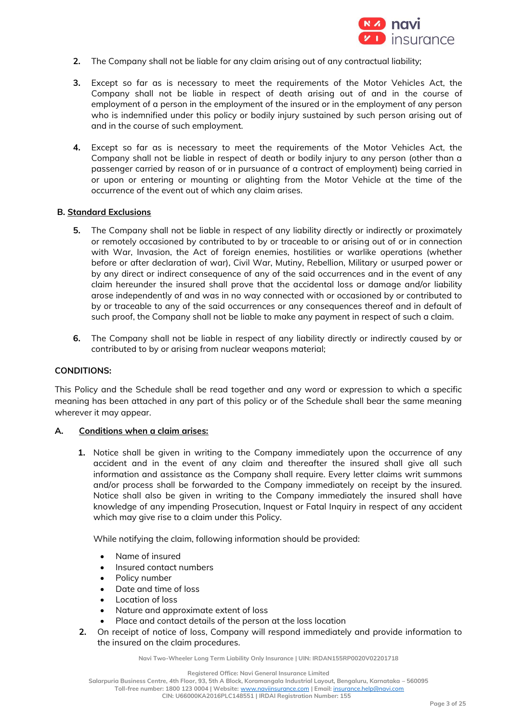

- **2.** The Company shall not be liable for any claim arising out of any contractual liability;
- **3.** Except so far as is necessary to meet the requirements of the Motor Vehicles Act, the Company shall not be liable in respect of death arising out of and in the course of employment of a person in the employment of the insured or in the employment of any person who is indemnified under this policy or bodily injury sustained by such person arising out of and in the course of such employment.
- **4.** Except so far as is necessary to meet the requirements of the Motor Vehicles Act, the Company shall not be liable in respect of death or bodily injury to any person (other than a passenger carried by reason of or in pursuance of a contract of employment) being carried in or upon or entering or mounting or alighting from the Motor Vehicle at the time of the occurrence of the event out of which any claim arises.

### **B. Standard Exclusions**

- **5.** The Company shall not be liable in respect of any liability directly or indirectly or proximately or remotely occasioned by contributed to by or traceable to or arising out of or in connection with War, Invasion, the Act of foreign enemies, hostilities or warlike operations (whether before or after declaration of war), Civil War, Mutiny, Rebellion, Military or usurped power or by any direct or indirect consequence of any of the said occurrences and in the event of any claim hereunder the insured shall prove that the accidental loss or damage and/or liability arose independently of and was in no way connected with or occasioned by or contributed to by or traceable to any of the said occurrences or any consequences thereof and in default of such proof, the Company shall not be liable to make any payment in respect of such a claim.
- **6.** The Company shall not be liable in respect of any liability directly or indirectly caused by or contributed to by or arising from nuclear weapons material;

#### **CONDITIONS:**

This Policy and the Schedule shall be read together and any word or expression to which a specific meaning has been attached in any part of this policy or of the Schedule shall bear the same meaning wherever it may appear.

## **A. Conditions when a claim arises:**

**1.** Notice shall be given in writing to the Company immediately upon the occurrence of any accident and in the event of any claim and thereafter the insured shall give all such information and assistance as the Company shall require. Every letter claims writ summons and/or process shall be forwarded to the Company immediately on receipt by the insured. Notice shall also be given in writing to the Company immediately the insured shall have knowledge of any impending Prosecution, Inquest or Fatal Inquiry in respect of any accident which may give rise to a claim under this Policy.

While notifying the claim, following information should be provided:

- Name of insured
- Insured contact numbers
- Policy number
- Date and time of loss
- Location of loss
- Nature and approximate extent of loss
- Place and contact details of the person at the loss location
- **2.** On receipt of notice of loss, Company will respond immediately and provide information to the insured on the claim procedures.

**Navi Two-Wheeler Long Term Liability Only Insurance | UIN: IRDAN155RP0020V02201718**

**Registered Office: Navi General Insurance Limited**

**Salarpuria Business Centre, 4th Floor, 93, 5th A Block, Koramangala Industrial Layout, Bengaluru, Karnataka – 560095**

**Toll-free number: 1800 123 0004 | Website:** [www.naviinsurance.com](http://www.naviinsurance.com/) **| Email:** [insurance.help@navi.com](mailto:insurance.help@navi.com)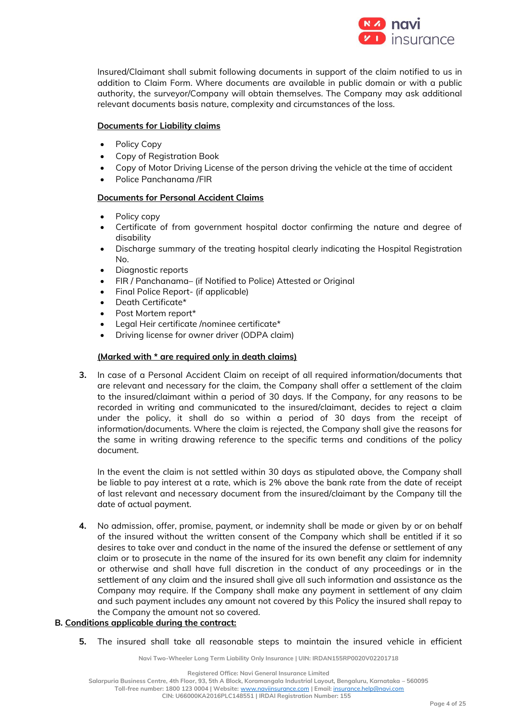

Insured/Claimant shall submit following documents in support of the claim notified to us in addition to Claim Form. Where documents are available in public domain or with a public authority, the surveyor/Company will obtain themselves. The Company may ask additional relevant documents basis nature, complexity and circumstances of the loss.

# **Documents for Liability claims**

- Policy Copy
- Copy of Registration Book
- Copy of Motor Driving License of the person driving the vehicle at the time of accident
- Police Panchanama /FIR

# **Documents for Personal Accident Claims**

- Policy copy
- Certificate of from government hospital doctor confirming the nature and degree of disability
- Discharge summary of the treating hospital clearly indicating the Hospital Registration No.
- Diagnostic reports
- FIR / Panchanama– (if Notified to Police) Attested or Original
- Final Police Report- (if applicable)
- Death Certificate\*
- Post Mortem report\*
- Legal Heir certificate /nominee certificate\*
- Driving license for owner driver (ODPA claim)

## **(Marked with \* are required only in death claims)**

**3.** In case of a Personal Accident Claim on receipt of all required information/documents that are relevant and necessary for the claim, the Company shall offer a settlement of the claim to the insured/claimant within a period of 30 days. If the Company, for any reasons to be recorded in writing and communicated to the insured/claimant, decides to reject a claim under the policy, it shall do so within a period of 30 days from the receipt of information/documents. Where the claim is rejected, the Company shall give the reasons for the same in writing drawing reference to the specific terms and conditions of the policy document.

In the event the claim is not settled within 30 days as stipulated above, the Company shall be liable to pay interest at a rate, which is 2% above the bank rate from the date of receipt of last relevant and necessary document from the insured/claimant by the Company till the date of actual payment.

**4.** No admission, offer, promise, payment, or indemnity shall be made or given by or on behalf of the insured without the written consent of the Company which shall be entitled if it so desires to take over and conduct in the name of the insured the defense or settlement of any claim or to prosecute in the name of the insured for its own benefit any claim for indemnity or otherwise and shall have full discretion in the conduct of any proceedings or in the settlement of any claim and the insured shall give all such information and assistance as the Company may require. If the Company shall make any payment in settlement of any claim and such payment includes any amount not covered by this Policy the insured shall repay to the Company the amount not so covered.

## **B. Conditions applicable during the contract:**

**5.** The insured shall take all reasonable steps to maintain the insured vehicle in efficient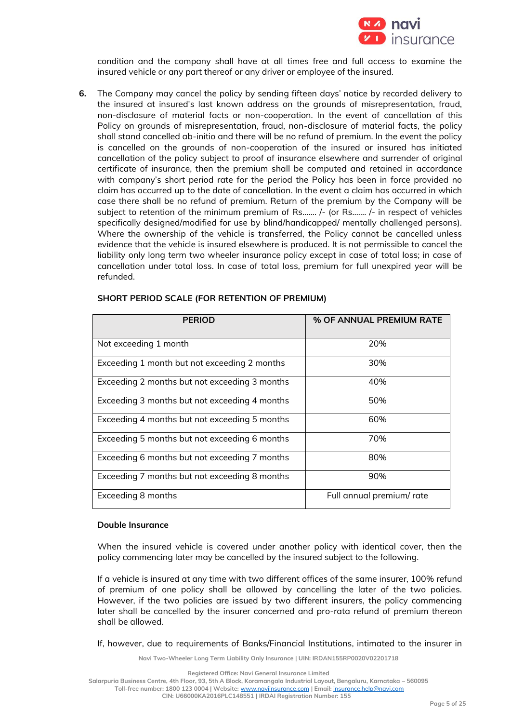

condition and the company shall have at all times free and full access to examine the insured vehicle or any part thereof or any driver or employee of the insured.

**6.** The Company may cancel the policy by sending fifteen days' notice by recorded delivery to the insured at insured's last known address on the grounds of misrepresentation, fraud, non-disclosure of material facts or non-cooperation. In the event of cancellation of this Policy on grounds of misrepresentation, fraud, non-disclosure of material facts, the policy shall stand cancelled ab-initio and there will be no refund of premium. In the event the policy is cancelled on the grounds of non-cooperation of the insured or insured has initiated cancellation of the policy subject to proof of insurance elsewhere and surrender of original certificate of insurance, then the premium shall be computed and retained in accordance with company's short period rate for the period the Policy has been in force provided no claim has occurred up to the date of cancellation. In the event a claim has occurred in which case there shall be no refund of premium. Return of the premium by the Company will be subject to retention of the minimum premium of Rs……. /- (or Rs……. /- in respect of vehicles specifically designed/modified for use by blind/handicapped/ mentally challenged persons). Where the ownership of the vehicle is transferred, the Policy cannot be cancelled unless evidence that the vehicle is insured elsewhere is produced. It is not permissible to cancel the liability only long term two wheeler insurance policy except in case of total loss; in case of cancellation under total loss. In case of total loss, premium for full unexpired year will be refunded.

| <b>PERIOD</b>                                 | % OF ANNUAL PREMIUM RATE |
|-----------------------------------------------|--------------------------|
| Not exceeding 1 month                         | 20%                      |
| Exceeding 1 month but not exceeding 2 months  | 30%                      |
| Exceeding 2 months but not exceeding 3 months | 40%                      |
| Exceeding 3 months but not exceeding 4 months | 50%                      |
| Exceeding 4 months but not exceeding 5 months | 60%                      |
| Exceeding 5 months but not exceeding 6 months | 70%                      |
| Exceeding 6 months but not exceeding 7 months | 80%                      |
| Exceeding 7 months but not exceeding 8 months | 90%                      |
| Exceeding 8 months                            | Full annual premium/rate |

### **SHORT PERIOD SCALE (FOR RETENTION OF PREMIUM)**

#### **Double Insurance**

When the insured vehicle is covered under another policy with identical cover, then the policy commencing later may be cancelled by the insured subject to the following.

If a vehicle is insured at any time with two different offices of the same insurer, 100% refund of premium of one policy shall be allowed by cancelling the later of the two policies. However, if the two policies are issued by two different insurers, the policy commencing later shall be cancelled by the insurer concerned and pro-rata refund of premium thereon shall be allowed.

If, however, due to requirements of Banks/Financial Institutions, intimated to the insurer in

**Navi Two-Wheeler Long Term Liability Only Insurance | UIN: IRDAN155RP0020V02201718**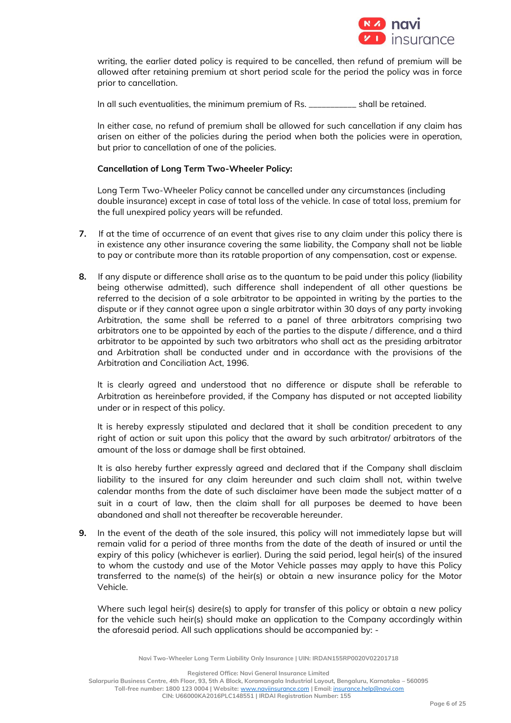

writing, the earlier dated policy is required to be cancelled, then refund of premium will be allowed after retaining premium at short period scale for the period the policy was in force prior to cancellation.

In all such eventualities, the minimum premium of Rs. \_\_\_\_\_\_\_\_\_\_\_ shall be retained.

In either case, no refund of premium shall be allowed for such cancellation if any claim has arisen on either of the policies during the period when both the policies were in operation, but prior to cancellation of one of the policies.

## **Cancellation of Long Term Two-Wheeler Policy:**

Long Term Two-Wheeler Policy cannot be cancelled under any circumstances (including double insurance) except in case of total loss of the vehicle. In case of total loss, premium for the full unexpired policy years will be refunded.

- **7.** If at the time of occurrence of an event that gives rise to any claim under this policy there is in existence any other insurance covering the same liability, the Company shall not be liable to pay or contribute more than its ratable proportion of any compensation, cost or expense.
- **8.** If any dispute or difference shall arise as to the quantum to be paid under this policy (liability being otherwise admitted), such difference shall independent of all other questions be referred to the decision of a sole arbitrator to be appointed in writing by the parties to the dispute or if they cannot agree upon a single arbitrator within 30 days of any party invoking Arbitration, the same shall be referred to a panel of three arbitrators comprising two arbitrators one to be appointed by each of the parties to the dispute / difference, and a third arbitrator to be appointed by such two arbitrators who shall act as the presiding arbitrator and Arbitration shall be conducted under and in accordance with the provisions of the Arbitration and Conciliation Act, 1996.

It is clearly agreed and understood that no difference or dispute shall be referable to Arbitration as hereinbefore provided, if the Company has disputed or not accepted liability under or in respect of this policy.

It is hereby expressly stipulated and declared that it shall be condition precedent to any right of action or suit upon this policy that the award by such arbitrator/ arbitrators of the amount of the loss or damage shall be first obtained.

It is also hereby further expressly agreed and declared that if the Company shall disclaim liability to the insured for any claim hereunder and such claim shall not, within twelve calendar months from the date of such disclaimer have been made the subject matter of a suit in a court of law, then the claim shall for all purposes be deemed to have been abandoned and shall not thereafter be recoverable hereunder.

**9.** In the event of the death of the sole insured, this policy will not immediately lapse but will remain valid for a period of three months from the date of the death of insured or until the expiry of this policy (whichever is earlier). During the said period, legal heir(s) of the insured to whom the custody and use of the Motor Vehicle passes may apply to have this Policy transferred to the name(s) of the heir(s) or obtain a new insurance policy for the Motor Vehicle.

Where such legal heir(s) desire(s) to apply for transfer of this policy or obtain a new policy for the vehicle such heir(s) should make an application to the Company accordingly within the aforesaid period. All such applications should be accompanied by: -

**Navi Two-Wheeler Long Term Liability Only Insurance | UIN: IRDAN155RP0020V02201718**

**Registered Office: Navi General Insurance Limited**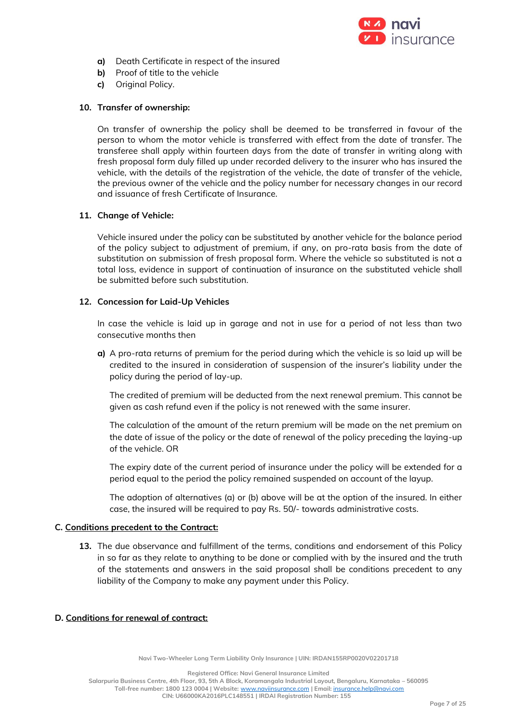

- **a)** Death Certificate in respect of the insured
- **b)** Proof of title to the vehicle
- **c)** Original Policy.

# **10. Transfer of ownership:**

On transfer of ownership the policy shall be deemed to be transferred in favour of the person to whom the motor vehicle is transferred with effect from the date of transfer. The transferee shall apply within fourteen days from the date of transfer in writing along with fresh proposal form duly filled up under recorded delivery to the insurer who has insured the vehicle, with the details of the registration of the vehicle, the date of transfer of the vehicle, the previous owner of the vehicle and the policy number for necessary changes in our record and issuance of fresh Certificate of Insurance.

# **11. Change of Vehicle:**

Vehicle insured under the policy can be substituted by another vehicle for the balance period of the policy subject to adjustment of premium, if any, on pro-rata basis from the date of substitution on submission of fresh proposal form. Where the vehicle so substituted is not a total loss, evidence in support of continuation of insurance on the substituted vehicle shall be submitted before such substitution.

## **12. Concession for Laid-Up Vehicles**

In case the vehicle is laid up in garage and not in use for a period of not less than two consecutive months then

**a)** A pro-rata returns of premium for the period during which the vehicle is so laid up will be credited to the insured in consideration of suspension of the insurer's liability under the policy during the period of lay-up.

The credited of premium will be deducted from the next renewal premium. This cannot be given as cash refund even if the policy is not renewed with the same insurer.

The calculation of the amount of the return premium will be made on the net premium on the date of issue of the policy or the date of renewal of the policy preceding the laying-up of the vehicle. OR

The expiry date of the current period of insurance under the policy will be extended for a period equal to the period the policy remained suspended on account of the layup.

The adoption of alternatives (a) or (b) above will be at the option of the insured. In either case, the insured will be required to pay Rs. 50/- towards administrative costs.

## **C. Conditions precedent to the Contract:**

**13.** The due observance and fulfillment of the terms, conditions and endorsement of this Policy in so far as they relate to anything to be done or complied with by the insured and the truth of the statements and answers in the said proposal shall be conditions precedent to any liability of the Company to make any payment under this Policy.

# **D. Conditions for renewal of contract:**

**Navi Two-Wheeler Long Term Liability Only Insurance | UIN: IRDAN155RP0020V02201718**

**Registered Office: Navi General Insurance Limited**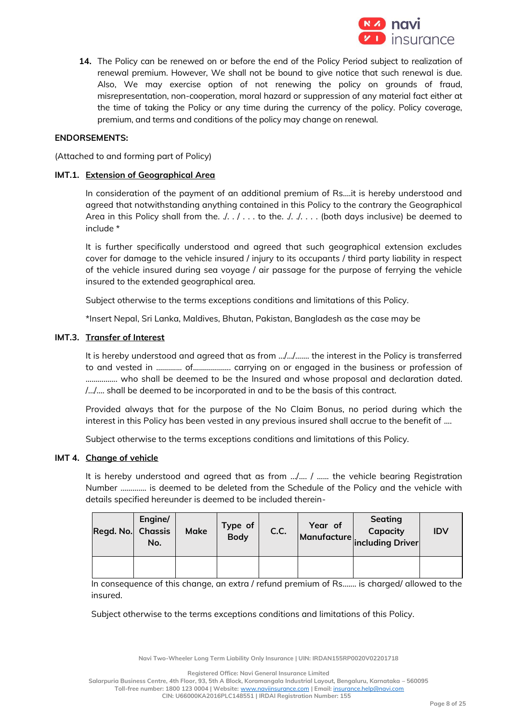

**14.** The Policy can be renewed on or before the end of the Policy Period subject to realization of renewal premium. However, We shall not be bound to give notice that such renewal is due. Also, We may exercise option of not renewing the policy on grounds of fraud, misrepresentation, non-cooperation, moral hazard or suppression of any material fact either at the time of taking the Policy or any time during the currency of the policy. Policy coverage, premium, and terms and conditions of the policy may change on renewal.

### **ENDORSEMENTS:**

(Attached to and forming part of Policy)

### **IMT.1. Extension of Geographical Area**

In consideration of the payment of an additional premium of Rs….it is hereby understood and agreed that notwithstanding anything contained in this Policy to the contrary the Geographical Area in this Policy shall from the.  $\ldots$  . . . to the. . . . . . . . (both days inclusive) be deemed to include \*

It is further specifically understood and agreed that such geographical extension excludes cover for damage to the vehicle insured / injury to its occupants / third party liability in respect of the vehicle insured during sea voyage / air passage for the purpose of ferrying the vehicle insured to the extended geographical area.

Subject otherwise to the terms exceptions conditions and limitations of this Policy.

\*Insert Nepal, Sri Lanka, Maldives, Bhutan, Pakistan, Bangladesh as the case may be

### **IMT.3. Transfer of Interest**

It is hereby understood and agreed that as from …/…/……. the interest in the Policy is transferred to and vested in ……….... of………………. carrying on or engaged in the business or profession of ……………. who shall be deemed to be the Insured and whose proposal and declaration dated. /…/…. shall be deemed to be incorporated in and to be the basis of this contract.

Provided always that for the purpose of the No Claim Bonus, no period during which the interest in this Policy has been vested in any previous insured shall accrue to the benefit of ....

Subject otherwise to the terms exceptions conditions and limitations of this Policy.

#### **IMT 4. Change of vehicle**

It is hereby understood and agreed that as from …/…. / …... the vehicle bearing Registration Number …………. is deemed to be deleted from the Schedule of the Policy and the vehicle with details specified hereunder is deemed to be included therein-

| Regd. No. Chassis | Engine/<br>No. | <b>Make</b> | Type of<br>Body | C.C. | Year of | <b>Seating</b><br>Capacity<br>Manufacture including Driver | <b>IDV</b> |
|-------------------|----------------|-------------|-----------------|------|---------|------------------------------------------------------------|------------|
|                   |                |             |                 |      |         |                                                            |            |

In consequence of this change, an extra / refund premium of Rs….... is charged/ allowed to the insured.

Subject otherwise to the terms exceptions conditions and limitations of this Policy.

**Navi Two-Wheeler Long Term Liability Only Insurance | UIN: IRDAN155RP0020V02201718**

**Registered Office: Navi General Insurance Limited**

**Salarpuria Business Centre, 4th Floor, 93, 5th A Block, Koramangala Industrial Layout, Bengaluru, Karnataka – 560095 Toll-free number: 1800 123 0004 | Website:** [www.naviinsurance.com](http://www.naviinsurance.com/) **| Email:** [insurance.help@navi.com](mailto:insurance.help@navi.com)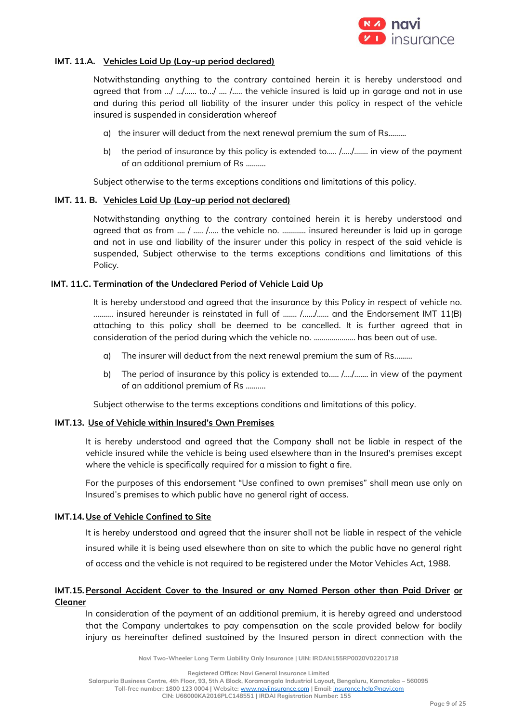

### **IMT. 11.A. Vehicles Laid Up (Lay-up period declared)**

Notwithstanding anything to the contrary contained herein it is hereby understood and agreed that from …/ …/…... to…/ …. /….. the vehicle insured is laid up in garage and not in use and during this period all liability of the insurer under this policy in respect of the vehicle insured is suspended in consideration whereof

- a) the insurer will deduct from the next renewal premium the sum of Rs………
- b) the period of insurance by this policy is extended to.…. /…../……. in view of the payment of an additional premium of Rs ……….

Subject otherwise to the terms exceptions conditions and limitations of this policy.

### **IMT. 11. B. Vehicles Laid Up (Lay-up period not declared)**

Notwithstanding anything to the contrary contained herein it is hereby understood and agreed that as from …. / ….. /….. the vehicle no. ………… insured hereunder is laid up in garage and not in use and liability of the insurer under this policy in respect of the said vehicle is suspended, Subject otherwise to the terms exceptions conditions and limitations of this Policy.

### **IMT. 11.C. Termination of the Undeclared Period of Vehicle Laid Up**

It is hereby understood and agreed that the insurance by this Policy in respect of vehicle no. ........... insured hereunder is reinstated in full of ....... /....../...... and the Endorsement IMT 11(B) attaching to this policy shall be deemed to be cancelled. It is further agreed that in consideration of the period during which the vehicle no. ..………………. has been out of use.

- a) The insurer will deduct from the next renewal premium the sum of Rs………
- b) The period of insurance by this policy is extended to.…. /…./……. in view of the payment of an additional premium of Rs ……….

Subject otherwise to the terms exceptions conditions and limitations of this policy.

### **IMT.13. Use of Vehicle within Insured's Own Premises**

It is hereby understood and agreed that the Company shall not be liable in respect of the vehicle insured while the vehicle is being used elsewhere than in the Insured's premises except where the vehicle is specifically required for a mission to fight a fire.

For the purposes of this endorsement "Use confined to own premises" shall mean use only on Insured's premises to which public have no general right of access.

## **IMT.14. Use of Vehicle Confined to Site**

It is hereby understood and agreed that the insurer shall not be liable in respect of the vehicle insured while it is being used elsewhere than on site to which the public have no general right of access and the vehicle is not required to be registered under the Motor Vehicles Act, 1988.

## **IMT.15.Personal Accident Cover to the Insured or any Named Person other than Paid Driver or Cleaner**

In consideration of the payment of an additional premium, it is hereby agreed and understood that the Company undertakes to pay compensation on the scale provided below for bodily injury as hereinafter defined sustained by the Insured person in direct connection with the

**Navi Two-Wheeler Long Term Liability Only Insurance | UIN: IRDAN155RP0020V02201718**

**Registered Office: Navi General Insurance Limited**

**Salarpuria Business Centre, 4th Floor, 93, 5th A Block, Koramangala Industrial Layout, Bengaluru, Karnataka – 560095**

**Toll-free number: 1800 123 0004 | Website:** [www.naviinsurance.com](http://www.naviinsurance.com/) **| Email:** [insurance.help@navi.com](mailto:insurance.help@navi.com)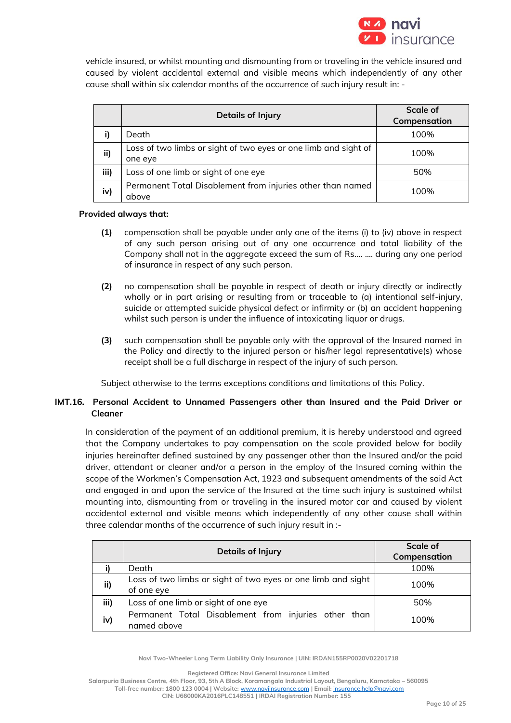

vehicle insured, or whilst mounting and dismounting from or traveling in the vehicle insured and caused by violent accidental external and visible means which independently of any other cause shall within six calendar months of the occurrence of such injury result in: -

|      | <b>Details of Injury</b>                                                   | Scale of<br>Compensation |
|------|----------------------------------------------------------------------------|--------------------------|
|      | Death                                                                      | 100%                     |
| ii)  | Loss of two limbs or sight of two eyes or one limb and sight of<br>one eye | 100%                     |
| iii) | Loss of one limb or sight of one eye                                       | 50%                      |
| iv)  | Permanent Total Disablement from injuries other than named<br>above        | 100%                     |

### **Provided always that:**

- **(1)** compensation shall be payable under only one of the items (i) to (iv) above in respect of any such person arising out of any one occurrence and total liability of the Company shall not in the aggregate exceed the sum of Rs.... …. during any one period of insurance in respect of any such person.
- **(2)** no compensation shall be payable in respect of death or injury directly or indirectly wholly or in part arising or resulting from or traceable to (a) intentional self-injury, suicide or attempted suicide physical defect or infirmity or (b) an accident happening whilst such person is under the influence of intoxicating liquor or drugs.
- **(3)** such compensation shall be payable only with the approval of the Insured named in the Policy and directly to the injured person or his/her legal representative(s) whose receipt shall be a full discharge in respect of the injury of such person.

Subject otherwise to the terms exceptions conditions and limitations of this Policy.

## **IMT.16. Personal Accident to Unnamed Passengers other than Insured and the Paid Driver or Cleaner**

In consideration of the payment of an additional premium, it is hereby understood and agreed that the Company undertakes to pay compensation on the scale provided below for bodily injuries hereinafter defined sustained by any passenger other than the Insured and/or the paid driver, attendant or cleaner and/or a person in the employ of the Insured coming within the scope of the Workmen's Compensation Act, 1923 and subsequent amendments of the said Act and engaged in and upon the service of the Insured at the time such injury is sustained whilst mounting into, dismounting from or traveling in the insured motor car and caused by violent accidental external and visible means which independently of any other cause shall within three calendar months of the occurrence of such injury result in :-

|      | Details of Injury                                                          | Scale of<br>Compensation |
|------|----------------------------------------------------------------------------|--------------------------|
|      | Death                                                                      | 100%                     |
| ii)  | Loss of two limbs or sight of two eyes or one limb and sight<br>of one eye | 100%                     |
| iii) | Loss of one limb or sight of one eye                                       | 50%                      |
| iv)  | Permanent Total Disablement from injuries other than<br>named above        | 100%                     |

**Navi Two-Wheeler Long Term Liability Only Insurance | UIN: IRDAN155RP0020V02201718**

**Registered Office: Navi General Insurance Limited**

**Salarpuria Business Centre, 4th Floor, 93, 5th A Block, Koramangala Industrial Layout, Bengaluru, Karnataka – 560095 Toll-free number: 1800 123 0004 | Website:** [www.naviinsurance.com](http://www.naviinsurance.com/) **| Email:** [insurance.help@navi.com](mailto:insurance.help@navi.com)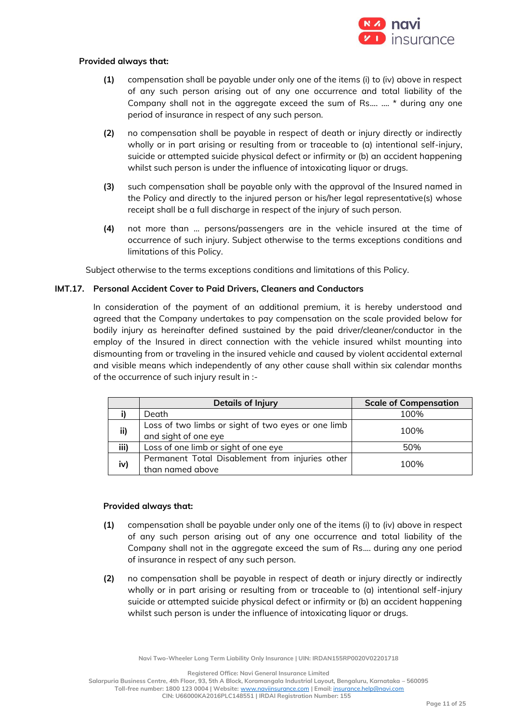

### **Provided always that:**

- **(1)** compensation shall be payable under only one of the items (i) to (iv) above in respect of any such person arising out of any one occurrence and total liability of the Company shall not in the aggregate exceed the sum of Rs.... …. \* during any one period of insurance in respect of any such person.
- **(2)** no compensation shall be payable in respect of death or injury directly or indirectly wholly or in part arising or resulting from or traceable to (a) intentional self-injury, suicide or attempted suicide physical defect or infirmity or (b) an accident happening whilst such person is under the influence of intoxicating liquor or drugs.
- **(3)** such compensation shall be payable only with the approval of the Insured named in the Policy and directly to the injured person or his/her legal representative(s) whose receipt shall be a full discharge in respect of the injury of such person.
- **(4)** not more than … persons/passengers are in the vehicle insured at the time of occurrence of such injury. Subject otherwise to the terms exceptions conditions and limitations of this Policy.

Subject otherwise to the terms exceptions conditions and limitations of this Policy.

### **IMT.17. Personal Accident Cover to Paid Drivers, Cleaners and Conductors**

In consideration of the payment of an additional premium, it is hereby understood and agreed that the Company undertakes to pay compensation on the scale provided below for bodily injury as hereinafter defined sustained by the paid driver/cleaner/conductor in the employ of the Insured in direct connection with the vehicle insured whilst mounting into dismounting from or traveling in the insured vehicle and caused by violent accidental external and visible means which independently of any other cause shall within six calendar months of the occurrence of such injury result in :-

|      | <b>Details of Injury</b>                                                   | <b>Scale of Compensation</b> |
|------|----------------------------------------------------------------------------|------------------------------|
|      | Death                                                                      | 100%                         |
| ii)  | Loss of two limbs or sight of two eyes or one limb<br>and sight of one eye | 100%                         |
| iii) | Loss of one limb or sight of one eye                                       | 50%                          |
| iv)  | Permanent Total Disablement from injuries other<br>than named above        | 100%                         |

#### **Provided always that:**

- **(1)** compensation shall be payable under only one of the items (i) to (iv) above in respect of any such person arising out of any one occurrence and total liability of the Company shall not in the aggregate exceed the sum of Rs.... during any one period of insurance in respect of any such person.
- **(2)** no compensation shall be payable in respect of death or injury directly or indirectly wholly or in part arising or resulting from or traceable to (a) intentional self-injury suicide or attempted suicide physical defect or infirmity or (b) an accident happening whilst such person is under the influence of intoxicating liquor or drugs.

**Navi Two-Wheeler Long Term Liability Only Insurance | UIN: IRDAN155RP0020V02201718**

**Registered Office: Navi General Insurance Limited**

**Salarpuria Business Centre, 4th Floor, 93, 5th A Block, Koramangala Industrial Layout, Bengaluru, Karnataka – 560095 Toll-free number: 1800 123 0004 | Website:** [www.naviinsurance.com](http://www.naviinsurance.com/) **| Email:** [insurance.help@navi.com](mailto:insurance.help@navi.com)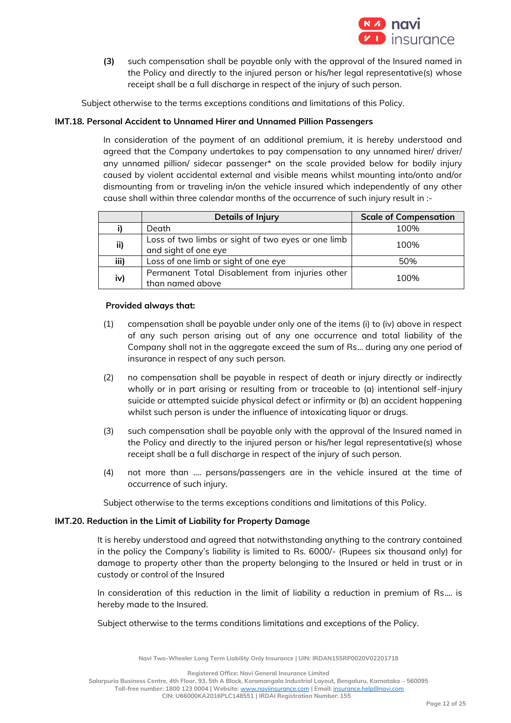

**(3)** such compensation shall be payable only with the approval of the Insured named in the Policy and directly to the injured person or his/her legal representative(s) whose receipt shall be a full discharge in respect of the injury of such person.

Subject otherwise to the terms exceptions conditions and limitations of this Policy.

## **IMT.18. Personal Accident to Unnamed Hirer and Unnamed Pillion Passengers**

In consideration of the payment of an additional premium, it is hereby understood and agreed that the Company undertakes to pay compensation to any unnamed hirer/ driver/ any unnamed pillion/ sidecar passenger\* on the scale provided below for bodily injury caused by violent accidental external and visible means whilst mounting into/onto and/or dismounting from or traveling in/on the vehicle insured which independently of any other cause shall within three calendar months of the occurrence of such injury result in :-

|      | <b>Details of Injury</b>                                                   | <b>Scale of Compensation</b> |
|------|----------------------------------------------------------------------------|------------------------------|
|      | Death                                                                      | 100%                         |
| ii)  | Loss of two limbs or sight of two eyes or one limb<br>and sight of one eye | 100%                         |
| iii) | Loss of one limb or sight of one eye                                       | 50%                          |
| iv)  | Permanent Total Disablement from injuries other<br>than named above        | 100%                         |

### **Provided always that:**

- (1) compensation shall be payable under only one of the items (i) to (iv) above in respect of any such person arising out of any one occurrence and total liability of the Company shall not in the aggregate exceed the sum of Rs... during any one period of insurance in respect of any such person.
- (2) no compensation shall be payable in respect of death or injury directly or indirectly wholly or in part arising or resulting from or traceable to (a) intentional self-injury suicide or attempted suicide physical defect or infirmity or (b) an accident happening whilst such person is under the influence of intoxicating liquor or drugs.
- (3) such compensation shall be payable only with the approval of the Insured named in the Policy and directly to the injured person or his/her legal representative(s) whose receipt shall be a full discharge in respect of the injury of such person.
- (4) not more than …. persons/passengers are in the vehicle insured at the time of occurrence of such injury.

Subject otherwise to the terms exceptions conditions and limitations of this Policy.

## **IMT.20. Reduction in the Limit of Liability for Property Damage**

It is hereby understood and agreed that notwithstanding anything to the contrary contained in the policy the Company's liability is limited to Rs. 6000/- (Rupees six thousand only) for damage to property other than the property belonging to the Insured or held in trust or in custody or control of the Insured

In consideration of this reduction in the limit of liability a reduction in premium of Rs.... is hereby made to the Insured.

Subject otherwise to the terms conditions limitations and exceptions of the Policy.

**Navi Two-Wheeler Long Term Liability Only Insurance | UIN: IRDAN155RP0020V02201718**

**Registered Office: Navi General Insurance Limited**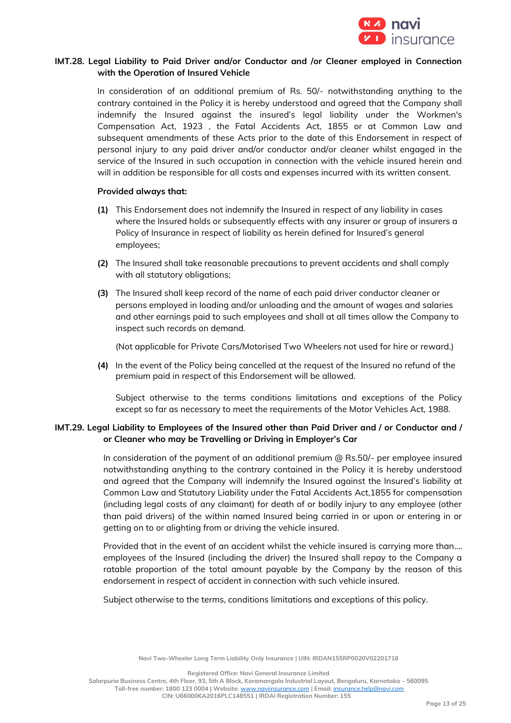

## **IMT.28. Legal Liability to Paid Driver and/or Conductor and /or Cleaner employed in Connection with the Operation of Insured Vehicle**

In consideration of an additional premium of Rs. 50/- notwithstanding anything to the contrary contained in the Policy it is hereby understood and agreed that the Company shall indemnify the Insured against the insured's legal liability under the Workmen's Compensation Act, 1923 , the Fatal Accidents Act, 1855 or at Common Law and subsequent amendments of these Acts prior to the date of this Endorsement in respect of personal injury to any paid driver and/or conductor and/or cleaner whilst engaged in the service of the Insured in such occupation in connection with the vehicle insured herein and will in addition be responsible for all costs and expenses incurred with its written consent.

### **Provided always that:**

- **(1)** This Endorsement does not indemnify the Insured in respect of any liability in cases where the Insured holds or subsequently effects with any insurer or group of insurers a Policy of Insurance in respect of liability as herein defined for Insured's general employees;
- **(2)** The Insured shall take reasonable precautions to prevent accidents and shall comply with all statutory obligations;
- **(3)** The Insured shall keep record of the name of each paid driver conductor cleaner or persons employed in loading and/or unloading and the amount of wages and salaries and other earnings paid to such employees and shall at all times allow the Company to inspect such records on demand.

(Not applicable for Private Cars/Motorised Two Wheelers not used for hire or reward.)

**(4)** In the event of the Policy being cancelled at the request of the Insured no refund of the premium paid in respect of this Endorsement will be allowed.

Subject otherwise to the terms conditions limitations and exceptions of the Policy except so far as necessary to meet the requirements of the Motor Vehicles Act, 1988.

# **IMT.29. Legal Liability to Employees of the Insured other than Paid Driver and / or Conductor and / or Cleaner who may be Travelling or Driving in Employer's Car**

In consideration of the payment of an additional premium  $@$  Rs.50/- per employee insured notwithstanding anything to the contrary contained in the Policy it is hereby understood and agreed that the Company will indemnify the Insured against the Insured's liability at Common Law and Statutory Liability under the Fatal Accidents Act,1855 for compensation (including legal costs of any claimant) for death of or bodily injury to any employee (other than paid drivers) of the within named Insured being carried in or upon or entering in or getting on to or alighting from or driving the vehicle insured.

Provided that in the event of an accident whilst the vehicle insured is carrying more than.... employees of the Insured (including the driver) the Insured shall repay to the Company a ratable proportion of the total amount payable by the Company by the reason of this endorsement in respect of accident in connection with such vehicle insured.

Subject otherwise to the terms, conditions limitations and exceptions of this policy.

**Navi Two-Wheeler Long Term Liability Only Insurance | UIN: IRDAN155RP0020V02201718**

**Registered Office: Navi General Insurance Limited**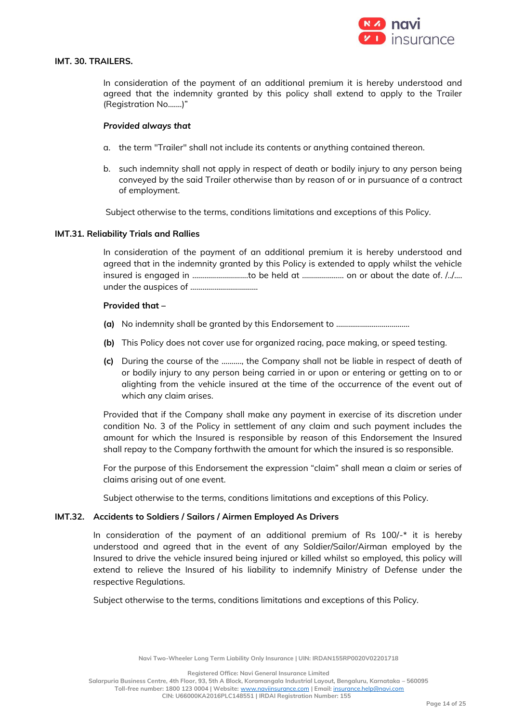

## **IMT. 30. TRAILERS.**

In consideration of the payment of an additional premium it is hereby understood and agreed that the indemnity granted by this policy shall extend to apply to the Trailer (Registration No.......)"

### *Provided always that*

- a. the term "Trailer" shall not include its contents or anything contained thereon.
- b. such indemnity shall not apply in respect of death or bodily injury to any person being conveyed by the said Trailer otherwise than by reason of or in pursuance of a contract of employment.

Subject otherwise to the terms, conditions limitations and exceptions of this Policy.

#### **IMT.31. Reliability Trials and Rallies**

In consideration of the payment of an additional premium it is hereby understood and agreed that in the indemnity granted by this Policy is extended to apply whilst the vehicle insured is engaged in ……………………….to be held at ………………… on or about the date of. /../…. under the auspices of …………………………….

#### **Provided that –**

- **(a)** No indemnity shall be granted by this Endorsement to ……………………………….
- **(b)** This Policy does not cover use for organized racing, pace making, or speed testing.
- **(c)** During the course of the ………., the Company shall not be liable in respect of death of or bodily injury to any person being carried in or upon or entering or getting on to or alighting from the vehicle insured at the time of the occurrence of the event out of which any claim arises.

Provided that if the Company shall make any payment in exercise of its discretion under condition No. 3 of the Policy in settlement of any claim and such payment includes the amount for which the Insured is responsible by reason of this Endorsement the Insured shall repay to the Company forthwith the amount for which the insured is so responsible.

For the purpose of this Endorsement the expression "claim" shall mean a claim or series of claims arising out of one event.

Subject otherwise to the terms, conditions limitations and exceptions of this Policy.

#### **IMT.32. Accidents to Soldiers / Sailors / Airmen Employed As Drivers**

In consideration of the payment of an additional premium of Rs  $100/-$ \* it is hereby understood and agreed that in the event of any Soldier/Sailor/Airman employed by the Insured to drive the vehicle insured being injured or killed whilst so employed, this policy will extend to relieve the Insured of his liability to indemnify Ministry of Defense under the respective Regulations.

Subject otherwise to the terms, conditions limitations and exceptions of this Policy.

**Navi Two-Wheeler Long Term Liability Only Insurance | UIN: IRDAN155RP0020V02201718**

**Registered Office: Navi General Insurance Limited**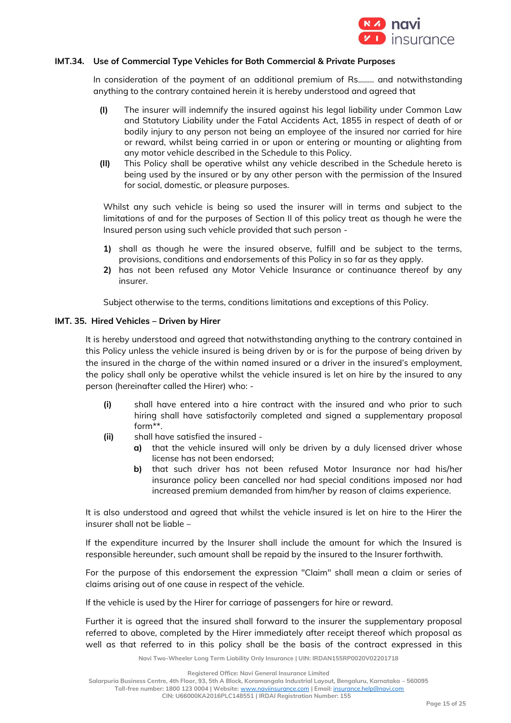

### **IMT.34. Use of Commercial Type Vehicles for Both Commercial & Private Purposes**

In consideration of the payment of an additional premium of Rs.……. and notwithstanding anything to the contrary contained herein it is hereby understood and agreed that

- **(I)** The insurer will indemnify the insured against his legal liability under Common Law and Statutory Liability under the Fatal Accidents Act, 1855 in respect of death of or bodily injury to any person not being an employee of the insured nor carried for hire or reward, whilst being carried in or upon or entering or mounting or alighting from any motor vehicle described in the Schedule to this Policy.
- **(II)** This Policy shall be operative whilst any vehicle described in the Schedule hereto is being used by the insured or by any other person with the permission of the Insured for social, domestic, or pleasure purposes.

Whilst any such vehicle is being so used the insurer will in terms and subject to the limitations of and for the purposes of Section II of this policy treat as though he were the Insured person using such vehicle provided that such person -

- **1)** shall as though he were the insured observe, fulfill and be subject to the terms, provisions, conditions and endorsements of this Policy in so far as they apply.
- **2)** has not been refused any Motor Vehicle Insurance or continuance thereof by any insurer.

Subject otherwise to the terms, conditions limitations and exceptions of this Policy.

### **IMT. 35. Hired Vehicles – Driven by Hirer**

It is hereby understood and agreed that notwithstanding anything to the contrary contained in this Policy unless the vehicle insured is being driven by or is for the purpose of being driven by the insured in the charge of the within named insured or a driver in the insured's employment, the policy shall only be operative whilst the vehicle insured is let on hire by the insured to any person (hereinafter called the Hirer) who: -

- **(i)** shall have entered into a hire contract with the insured and who prior to such hiring shall have satisfactorily completed and signed a supplementary proposal form\*\*.
- **(ii)** shall have satisfied the insured
	- **a)** that the vehicle insured will only be driven by a duly licensed driver whose license has not been endorsed;
	- **b)** that such driver has not been refused Motor Insurance nor had his/her insurance policy been cancelled nor had special conditions imposed nor had increased premium demanded from him/her by reason of claims experience.

It is also understood and agreed that whilst the vehicle insured is let on hire to the Hirer the insurer shall not be liable –

If the expenditure incurred by the Insurer shall include the amount for which the Insured is responsible hereunder, such amount shall be repaid by the insured to the Insurer forthwith.

For the purpose of this endorsement the expression "Claim" shall mean a claim or series of claims arising out of one cause in respect of the vehicle.

If the vehicle is used by the Hirer for carriage of passengers for hire or reward.

Further it is agreed that the insured shall forward to the insurer the supplementary proposal referred to above, completed by the Hirer immediately after receipt thereof which proposal as well as that referred to in this policy shall be the basis of the contract expressed in this

**Navi Two-Wheeler Long Term Liability Only Insurance | UIN: IRDAN155RP0020V02201718**

**Salarpuria Business Centre, 4th Floor, 93, 5th A Block, Koramangala Industrial Layout, Bengaluru, Karnataka – 560095 Toll-free number: 1800 123 0004 | Website:** [www.naviinsurance.com](http://www.naviinsurance.com/) **| Email:** [insurance.help@navi.com](mailto:insurance.help@navi.com)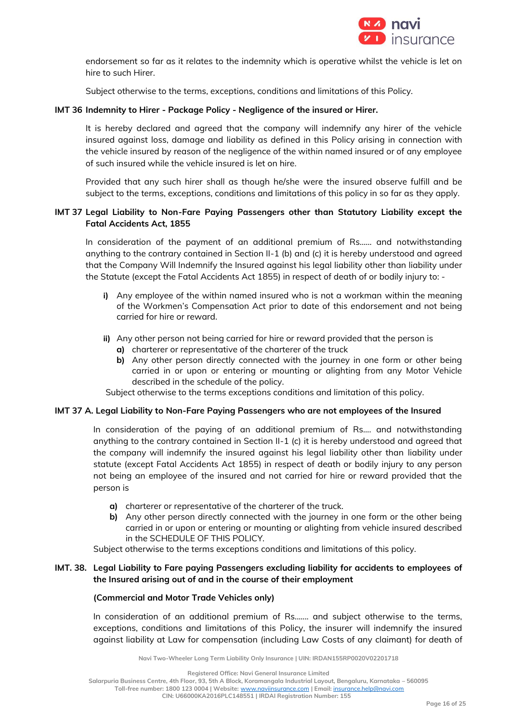

endorsement so far as it relates to the indemnity which is operative whilst the vehicle is let on hire to such Hirer.

Subject otherwise to the terms, exceptions, conditions and limitations of this Policy.

## **IMT 36 Indemnity to Hirer - Package Policy - Negligence of the insured or Hirer.**

It is hereby declared and agreed that the company will indemnify any hirer of the vehicle insured against loss, damage and liability as defined in this Policy arising in connection with the vehicle insured by reason of the negligence of the within named insured or of any employee of such insured while the vehicle insured is let on hire.

Provided that any such hirer shall as though he/she were the insured observe fulfill and be subject to the terms, exceptions, conditions and limitations of this policy in so far as they apply.

## **IMT 37 Legal Liability to Non-Fare Paying Passengers other than Statutory Liability except the Fatal Accidents Act, 1855**

In consideration of the payment of an additional premium of Rs…… and notwithstanding anything to the contrary contained in Section II-1 (b) and (c) it is hereby understood and agreed that the Company Will Indemnify the Insured against his legal liability other than liability under the Statute (except the Fatal Accidents Act 1855) in respect of death of or bodily injury to: -

- **i)** Any employee of the within named insured who is not a workman within the meaning of the Workmen's Compensation Act prior to date of this endorsement and not being carried for hire or reward.
- **ii)** Any other person not being carried for hire or reward provided that the person is
	- **a)** charterer or representative of the charterer of the truck
	- **b)** Any other person directly connected with the journey in one form or other being carried in or upon or entering or mounting or alighting from any Motor Vehicle described in the schedule of the policy.

Subject otherwise to the terms exceptions conditions and limitation of this policy.

#### **IMT 37 A. Legal Liability to Non-Fare Paying Passengers who are not employees of the Insured**

In consideration of the paying of an additional premium of Rs…. and notwithstanding anything to the contrary contained in Section II-1 (c) it is hereby understood and agreed that the company will indemnify the insured against his legal liability other than liability under statute (except Fatal Accidents Act 1855) in respect of death or bodily injury to any person not being an employee of the insured and not carried for hire or reward provided that the person is

- **a)** charterer or representative of the charterer of the truck.
- **b)** Any other person directly connected with the journey in one form or the other being carried in or upon or entering or mounting or alighting from vehicle insured described in the SCHEDULE OF THIS POLICY.

Subject otherwise to the terms exceptions conditions and limitations of this policy.

## **IMT. 38. Legal Liability to Fare paying Passengers excluding liability for accidents to employees of the Insured arising out of and in the course of their employment**

#### **(Commercial and Motor Trade Vehicles only)**

In consideration of an additional premium of Rs....... and subject otherwise to the terms, exceptions, conditions and limitations of this Policy, the insurer will indemnify the insured against liability at Law for compensation (including Law Costs of any claimant) for death of

**Navi Two-Wheeler Long Term Liability Only Insurance | UIN: IRDAN155RP0020V02201718**

**Registered Office: Navi General Insurance Limited**

**Salarpuria Business Centre, 4th Floor, 93, 5th A Block, Koramangala Industrial Layout, Bengaluru, Karnataka – 560095**

**Toll-free number: 1800 123 0004 | Website:** [www.naviinsurance.com](http://www.naviinsurance.com/) **| Email:** [insurance.help@navi.com](mailto:insurance.help@navi.com)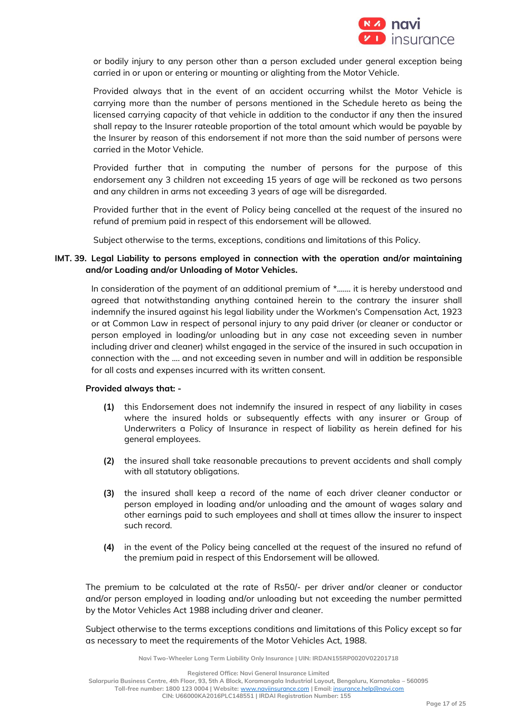

or bodily injury to any person other than a person excluded under general exception being carried in or upon or entering or mounting or alighting from the Motor Vehicle.

Provided always that in the event of an accident occurring whilst the Motor Vehicle is carrying more than the number of persons mentioned in the Schedule hereto as being the licensed carrying capacity of that vehicle in addition to the conductor if any then the insured shall repay to the Insurer rateable proportion of the total amount which would be payable by the Insurer by reason of this endorsement if not more than the said number of persons were carried in the Motor Vehicle.

Provided further that in computing the number of persons for the purpose of this endorsement any 3 children not exceeding 15 years of age will be reckoned as two persons and any children in arms not exceeding 3 years of age will be disregarded.

Provided further that in the event of Policy being cancelled at the request of the insured no refund of premium paid in respect of this endorsement will be allowed.

Subject otherwise to the terms, exceptions, conditions and limitations of this Policy.

## **IMT. 39. Legal Liability to persons employed in connection with the operation and/or maintaining and/or Loading and/or Unloading of Motor Vehicles.**

In consideration of the payment of an additional premium of  $*$ ....... it is hereby understood and agreed that notwithstanding anything contained herein to the contrary the insurer shall indemnify the insured against his legal liability under the Workmen's Compensation Act, 1923 or at Common Law in respect of personal injury to any paid driver (or cleaner or conductor or person employed in loading/or unloading but in any case not exceeding seven in number including driver and cleaner) whilst engaged in the service of the insured in such occupation in connection with the .... and not exceeding seven in number and will in addition be responsible for all costs and expenses incurred with its written consent.

## **Provided always that: -**

- **(1)** this Endorsement does not indemnify the insured in respect of any liability in cases where the insured holds or subsequently effects with any insurer or Group of Underwriters a Policy of Insurance in respect of liability as herein defined for his general employees.
- **(2)** the insured shall take reasonable precautions to prevent accidents and shall comply with all statutory obligations.
- **(3)** the insured shall keep a record of the name of each driver cleaner conductor or person employed in loading and/or unloading and the amount of wages salary and other earnings paid to such employees and shall at times allow the insurer to inspect such record.
- **(4)** in the event of the Policy being cancelled at the request of the insured no refund of the premium paid in respect of this Endorsement will be allowed.

The premium to be calculated at the rate of Rs50/- per driver and/or cleaner or conductor and/or person employed in loading and/or unloading but not exceeding the number permitted by the Motor Vehicles Act 1988 including driver and cleaner.

Subject otherwise to the terms exceptions conditions and limitations of this Policy except so far as necessary to meet the requirements of the Motor Vehicles Act, 1988.

**Navi Two-Wheeler Long Term Liability Only Insurance | UIN: IRDAN155RP0020V02201718**

**Registered Office: Navi General Insurance Limited**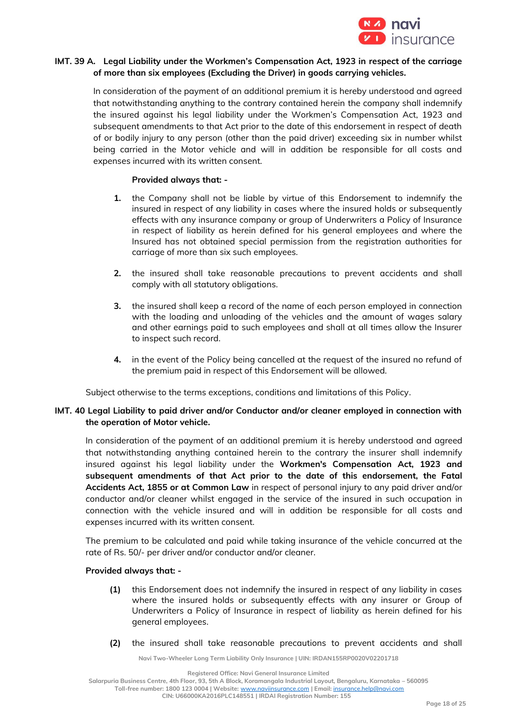

## **IMT. 39 A. Legal Liability under the Workmen's Compensation Act, 1923 in respect of the carriage of more than six employees (Excluding the Driver) in goods carrying vehicles.**

In consideration of the payment of an additional premium it is hereby understood and agreed that notwithstanding anything to the contrary contained herein the company shall indemnify the insured against his legal liability under the Workmen's Compensation Act, 1923 and subsequent amendments to that Act prior to the date of this endorsement in respect of death of or bodily injury to any person (other than the paid driver) exceeding six in number whilst being carried in the Motor vehicle and will in addition be responsible for all costs and expenses incurred with its written consent.

## **Provided always that: -**

- **1.** the Company shall not be liable by virtue of this Endorsement to indemnify the insured in respect of any liability in cases where the insured holds or subsequently effects with any insurance company or group of Underwriters a Policy of Insurance in respect of liability as herein defined for his general employees and where the Insured has not obtained special permission from the registration authorities for carriage of more than six such employees.
- **2.** the insured shall take reasonable precautions to prevent accidents and shall comply with all statutory obligations.
- **3.** the insured shall keep a record of the name of each person employed in connection with the loading and unloading of the vehicles and the amount of wages salary and other earnings paid to such employees and shall at all times allow the Insurer to inspect such record.
- **4.** in the event of the Policy being cancelled at the request of the insured no refund of the premium paid in respect of this Endorsement will be allowed.

Subject otherwise to the terms exceptions, conditions and limitations of this Policy.

## **IMT. 40 Legal Liability to paid driver and/or Conductor and/or cleaner employed in connection with the operation of Motor vehicle.**

In consideration of the payment of an additional premium it is hereby understood and agreed that notwithstanding anything contained herein to the contrary the insurer shall indemnify insured against his legal liability under the **Workmen's Compensation Act, 1923 and subsequent amendments of that Act prior to the date of this endorsement, the Fatal Accidents Act, 1855 or at Common Law** in respect of personal injury to any paid driver and/or conductor and/or cleaner whilst engaged in the service of the insured in such occupation in connection with the vehicle insured and will in addition be responsible for all costs and expenses incurred with its written consent.

The premium to be calculated and paid while taking insurance of the vehicle concurred at the rate of Rs. 50/- per driver and/or conductor and/or cleaner.

#### **Provided always that: -**

- **(1)** this Endorsement does not indemnify the insured in respect of any liability in cases where the insured holds or subsequently effects with any insurer or Group of Underwriters a Policy of Insurance in respect of liability as herein defined for his general employees.
- **(2)** the insured shall take reasonable precautions to prevent accidents and shall

**Navi Two-Wheeler Long Term Liability Only Insurance | UIN: IRDAN155RP0020V02201718**

**Registered Office: Navi General Insurance Limited**

**Salarpuria Business Centre, 4th Floor, 93, 5th A Block, Koramangala Industrial Layout, Bengaluru, Karnataka – 560095 Toll-free number: 1800 123 0004 | Website:** [www.naviinsurance.com](http://www.naviinsurance.com/) **| Email:** [insurance.help@navi.com](mailto:insurance.help@navi.com)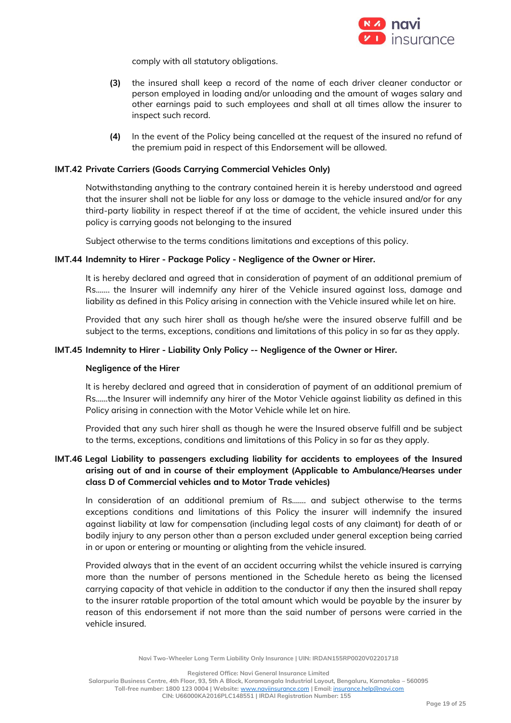

comply with all statutory obligations.

- **(3)** the insured shall keep a record of the name of each driver cleaner conductor or person employed in loading and/or unloading and the amount of wages salary and other earnings paid to such employees and shall at all times allow the insurer to inspect such record.
- **(4)** In the event of the Policy being cancelled at the request of the insured no refund of the premium paid in respect of this Endorsement will be allowed.

## **IMT.42 Private Carriers (Goods Carrying Commercial Vehicles Only)**

Notwithstanding anything to the contrary contained herein it is hereby understood and agreed that the insurer shall not be liable for any loss or damage to the vehicle insured and/or for any third-party liability in respect thereof if at the time of accident, the vehicle insured under this policy is carrying goods not belonging to the insured

Subject otherwise to the terms conditions limitations and exceptions of this policy.

#### **IMT.44 Indemnity to Hirer - Package Policy - Negligence of the Owner or Hirer.**

It is hereby declared and agreed that in consideration of payment of an additional premium of Rs……. the Insurer will indemnify any hirer of the Vehicle insured against loss, damage and liability as defined in this Policy arising in connection with the Vehicle insured while let on hire.

Provided that any such hirer shall as though he/she were the insured observe fulfill and be subject to the terms, exceptions, conditions and limitations of this policy in so far as they apply.

#### **IMT.45 Indemnity to Hirer - Liability Only Policy -- Negligence of the Owner or Hirer.**

#### **Negligence of the Hirer**

It is hereby declared and agreed that in consideration of payment of an additional premium of Rs……the Insurer will indemnify any hirer of the Motor Vehicle against liability as defined in this Policy arising in connection with the Motor Vehicle while let on hire.

Provided that any such hirer shall as though he were the Insured observe fulfill and be subject to the terms, exceptions, conditions and limitations of this Policy in so far as they apply.

# **IMT.46 Legal Liability to passengers excluding liability for accidents to employees of the Insured arising out of and in course of their employment (Applicable to Ambulance/Hearses under class D of Commercial vehicles and to Motor Trade vehicles)**

In consideration of an additional premium of Rs……. and subject otherwise to the terms exceptions conditions and limitations of this Policy the insurer will indemnify the insured against liability at law for compensation (including legal costs of any claimant) for death of or bodily injury to any person other than a person excluded under general exception being carried in or upon or entering or mounting or alighting from the vehicle insured.

Provided always that in the event of an accident occurring whilst the vehicle insured is carrying more than the number of persons mentioned in the Schedule hereto as being the licensed carrying capacity of that vehicle in addition to the conductor if any then the insured shall repay to the insurer ratable proportion of the total amount which would be payable by the insurer by reason of this endorsement if not more than the said number of persons were carried in the vehicle insured.

**Navi Two-Wheeler Long Term Liability Only Insurance | UIN: IRDAN155RP0020V02201718**

**Registered Office: Navi General Insurance Limited**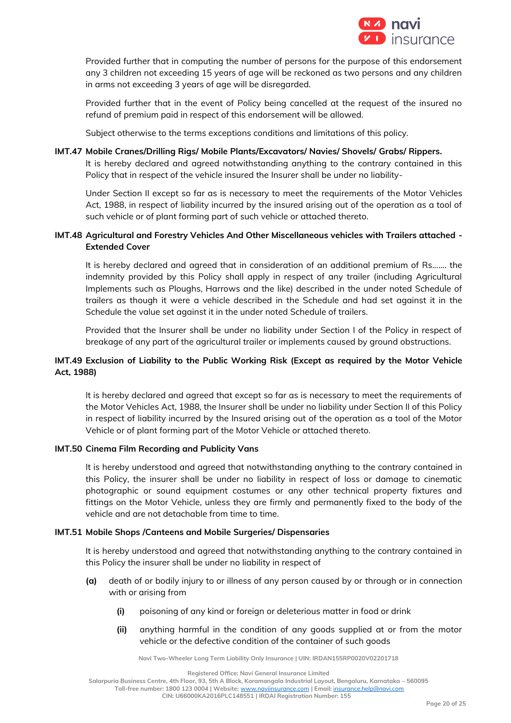

Provided further that in computing the number of persons for the purpose of this endorsement any 3 children not exceeding 15 years of age will be reckoned as two persons and any children in arms not exceeding 3 years of age will be disregarded.

Provided further that in the event of Policy being cancelled at the request of the insured no refund of premium paid in respect of this endorsement will be allowed.

Subject otherwise to the terms exceptions conditions and limitations of this policy.

### **IMT.47 Mobile Cranes/Drilling Rigs/ Mobile Plants/Excavators/ Navies/ Shovels/ Grabs/ Rippers.**

It is hereby declared and agreed notwithstanding anything to the contrary contained in this Policy that in respect of the vehicle insured the Insurer shall be under no liability-

Under Section II except so far as is necessary to meet the requirements of the Motor Vehicles Act, 1988, in respect of liability incurred by the insured arising out of the operation as a tool of such vehicle or of plant forming part of such vehicle or attached thereto.

## **IMT.48 Agricultural and Forestry Vehicles And Other Miscellaneous vehicles with Trailers attached - Extended Cover**

It is hereby declared and agreed that in consideration of an additional premium of Rs……. the indemnity provided by this Policy shall apply in respect of any trailer (including Agricultural Implements such as Ploughs, Harrows and the like) described in the under noted Schedule of trailers as though it were a vehicle described in the Schedule and had set against it in the Schedule the value set against it in the under noted Schedule of trailers.

Provided that the Insurer shall be under no liability under Section I of the Policy in respect of breakage of any part of the agricultural trailer or implements caused by ground obstructions.

# **IMT.49 Exclusion of Liability to the Public Working Risk (Except as required by the Motor Vehicle Act, 1988)**

It is hereby declared and agreed that except so far as is necessary to meet the requirements of the Motor Vehicles Act, 1988, the Insurer shall be under no liability under Section II of this Policy in respect of liability incurred by the Insured arising out of the operation as a tool of the Motor Vehicle or of plant forming part of the Motor Vehicle or attached thereto.

## **IMT.50 Cinema Film Recording and Publicity Vans**

It is hereby understood and agreed that notwithstanding anything to the contrary contained in this Policy, the insurer shall be under no liability in respect of loss or damage to cinematic photographic or sound equipment costumes or any other technical property fixtures and fittings on the Motor Vehicle, unless they are firmly and permanently fixed to the body of the vehicle and are not detachable from time to time.

#### **IMT.51 Mobile Shops /Canteens and Mobile Surgeries/ Dispensaries**

It is hereby understood and agreed that notwithstanding anything to the contrary contained in this Policy the insurer shall be under no liability in respect of

- **(a)** death of or bodily injury to or illness of any person caused by or through or in connection with or arising from
	- **(i)** poisoning of any kind or foreign or deleterious matter in food or drink
	- **(ii)** anything harmful in the condition of any goods supplied at or from the motor vehicle or the defective condition of the container of such goods

**Navi Two-Wheeler Long Term Liability Only Insurance | UIN: IRDAN155RP0020V02201718**

**Registered Office: Navi General Insurance Limited**

**Salarpuria Business Centre, 4th Floor, 93, 5th A Block, Koramangala Industrial Layout, Bengaluru, Karnataka – 560095**

**Toll-free number: 1800 123 0004 | Website:** [www.naviinsurance.com](http://www.naviinsurance.com/) **| Email:** [insurance.help@navi.com](mailto:insurance.help@navi.com)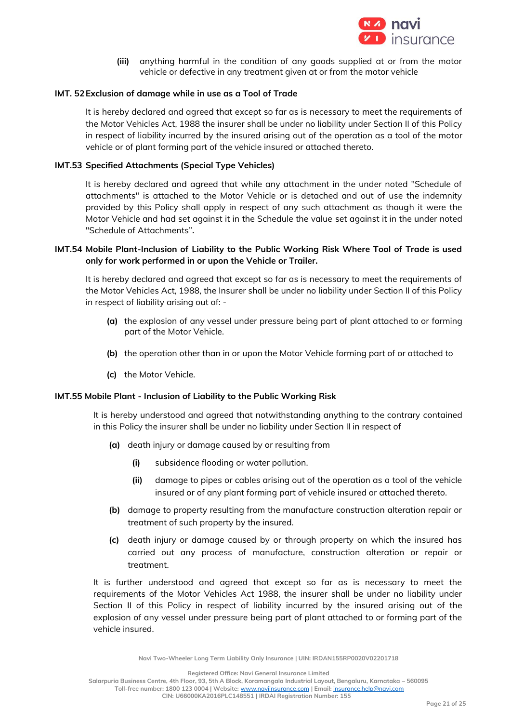

**(iii)** anything harmful in the condition of any goods supplied at or from the motor vehicle or defective in any treatment given at or from the motor vehicle

### **IMT. 52Exclusion of damage while in use as a Tool of Trade**

It is hereby declared and agreed that except so far as is necessary to meet the requirements of the Motor Vehicles Act, 1988 the insurer shall be under no liability under Section II of this Policy in respect of liability incurred by the insured arising out of the operation as a tool of the motor vehicle or of plant forming part of the vehicle insured or attached thereto.

### **IMT.53 Specified Attachments (Special Type Vehicles)**

It is hereby declared and agreed that while any attachment in the under noted "Schedule of attachments" is attached to the Motor Vehicle or is detached and out of use the indemnity provided by this Policy shall apply in respect of any such attachment as though it were the Motor Vehicle and had set against it in the Schedule the value set against it in the under noted "Schedule of Attachments"**.**

## **IMT.54 Mobile Plant-Inclusion of Liability to the Public Working Risk Where Tool of Trade is used only for work performed in or upon the Vehicle or Trailer.**

It is hereby declared and agreed that except so far as is necessary to meet the requirements of the Motor Vehicles Act, 1988, the Insurer shall be under no liability under Section II of this Policy in respect of liability arising out of: -

- **(a)** the explosion of any vessel under pressure being part of plant attached to or forming part of the Motor Vehicle.
- **(b)** the operation other than in or upon the Motor Vehicle forming part of or attached to
- **(c)** the Motor Vehicle.

#### **IMT.55 Mobile Plant - Inclusion of Liability to the Public Working Risk**

It is hereby understood and agreed that notwithstanding anything to the contrary contained in this Policy the insurer shall be under no liability under Section II in respect of

- **(a)** death injury or damage caused by or resulting from
	- **(i)** subsidence flooding or water pollution.
	- **(ii)** damage to pipes or cables arising out of the operation as a tool of the vehicle insured or of any plant forming part of vehicle insured or attached thereto.
- **(b)** damage to property resulting from the manufacture construction alteration repair or treatment of such property by the insured.
- **(c)** death injury or damage caused by or through property on which the insured has carried out any process of manufacture, construction alteration or repair or treatment.

It is further understood and agreed that except so far as is necessary to meet the requirements of the Motor Vehicles Act 1988, the insurer shall be under no liability under Section II of this Policy in respect of liability incurred by the insured arising out of the explosion of any vessel under pressure being part of plant attached to or forming part of the vehicle insured.

**Navi Two-Wheeler Long Term Liability Only Insurance | UIN: IRDAN155RP0020V02201718**

**Registered Office: Navi General Insurance Limited**

**Salarpuria Business Centre, 4th Floor, 93, 5th A Block, Koramangala Industrial Layout, Bengaluru, Karnataka – 560095 Toll-free number: 1800 123 0004 | Website:** [www.naviinsurance.com](http://www.naviinsurance.com/) **| Email:** [insurance.help@navi.com](mailto:insurance.help@navi.com)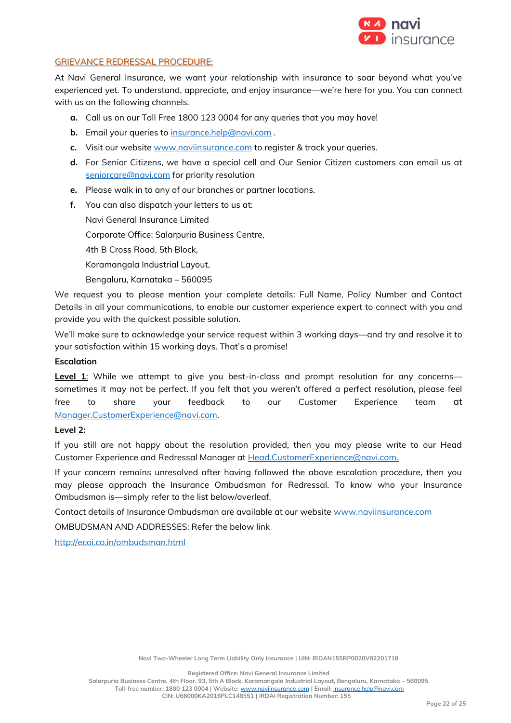

## GRIEVANCE REDRESSAL PROCEDURE:

At Navi General Insurance, we want your relationship with insurance to soar beyond what you've experienced yet. To understand, appreciate, and enjoy insurance—we're here for you. You can connect with us on the following channels.

- **a.** Call us on our Toll Free 1800 123 0004 for any queries that you may have!
- **b.** Email your queries to [insurance.help@navi.com](mailto:insurance.help@navi.com) .
- **c.** Visit our website [www.naviinsurance.com](http://www.naviinsurance.com/) to register & track your queries.
- **d.** For Senior Citizens, we have a special cell and Our Senior Citizen customers can email us at [seniorcare@navi.com](mailto:seniorcare@navi.com) for priority resolution
- **e.** Please walk in to any of our branches or partner locations.
- **f.** You can also dispatch your letters to us at:

Navi General Insurance Limited

Corporate Office: Salarpuria Business Centre,

4th B Cross Road, 5th Block,

Koramangala Industrial Layout,

Bengaluru, Karnataka – 560095

We request you to please mention your complete details: Full Name, Policy Number and Contact Details in all your communications, to enable our customer experience expert to connect with you and provide you with the quickest possible solution.

We'll make sure to acknowledge your service request within 3 working days—and try and resolve it to your satisfaction within 15 working days. That's a promise!

## **Escalation**

**Level 1:** While we attempt to give you best-in-class and prompt resolution for any concerns sometimes it may not be perfect. If you felt that you weren't offered a perfect resolution, please feel free to share your feedback to our Customer Experience team [at](mailto:at%20Manager.CustomerExperience@navi.com)  [Manager.CustomerExperience@navi.com.](mailto:at%20Manager.CustomerExperience@navi.com)

## **Level 2:**

If you still are not happy about the resolution provided, then you may please write to our Head Customer Experience and Redressal Manager at [Head.CustomerExperience@navi.com.](mailto:Head.CustomerExperience@navi.com.) 

If your concern remains unresolved after having followed the above escalation procedure, then you may please approach the Insurance Ombudsman for Redressal. To know who your Insurance Ombudsman is—simply refer to the list below/overleaf.

Contact details of Insurance Ombudsman are available at our website [www.naviinsurance.com](http://www.naviinsurance.com/)

OMBUDSMAN AND ADDRESSES: Refer the below link

<http://ecoi.co.in/ombudsman.html>

**Registered Office: Navi General Insurance Limited**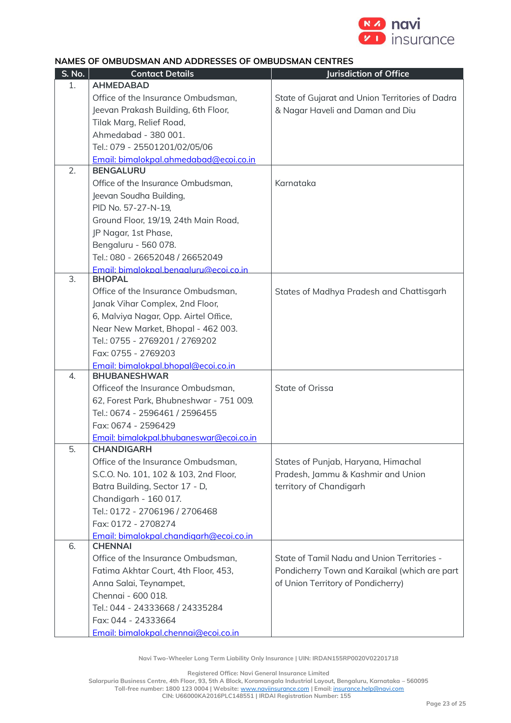

# **NAMES OF OMBUDSMAN AND ADDRESSES OF OMBUDSMAN CENTRES**

| S. No. | <b>Contact Details</b>                   | Jurisdiction of Office                          |
|--------|------------------------------------------|-------------------------------------------------|
| 1.     | <b>AHMEDABAD</b>                         |                                                 |
|        | Office of the Insurance Ombudsman,       | State of Gujarat and Union Territories of Dadra |
|        | Jeevan Prakash Building, 6th Floor,      | & Nagar Haveli and Daman and Diu                |
|        | Tilak Marg, Relief Road,                 |                                                 |
|        | Ahmedabad - 380 001.                     |                                                 |
|        | Tel.: 079 - 25501201/02/05/06            |                                                 |
|        | Email: bimalokpal.ahmedabad@ecoi.co.in   |                                                 |
| 2.     | <b>BENGALURU</b>                         |                                                 |
|        | Office of the Insurance Ombudsman,       | Karnataka                                       |
|        | Jeevan Soudha Building,                  |                                                 |
|        | PID No. 57-27-N-19,                      |                                                 |
|        | Ground Floor, 19/19, 24th Main Road,     |                                                 |
|        | JP Nagar, 1st Phase,                     |                                                 |
|        | Bengaluru - 560 078.                     |                                                 |
|        | Tel.: 080 - 26652048 / 26652049          |                                                 |
|        | Email: bimalokpal.benaaluru@ecoi.co.in   |                                                 |
| 3.     | <b>BHOPAL</b>                            |                                                 |
|        | Office of the Insurance Ombudsman,       | States of Madhya Pradesh and Chattisgarh        |
|        | Janak Vihar Complex, 2nd Floor,          |                                                 |
|        | 6, Malviya Nagar, Opp. Airtel Office,    |                                                 |
|        | Near New Market, Bhopal - 462 003.       |                                                 |
|        | Tel.: 0755 - 2769201 / 2769202           |                                                 |
|        | Fax: 0755 - 2769203                      |                                                 |
|        | Email: bimalokpal.bhopal@ecoi.co.in      |                                                 |
| 4.     | <b>BHUBANESHWAR</b>                      |                                                 |
|        | Officeof the Insurance Ombudsman,        | State of Orissa                                 |
|        | 62, Forest Park, Bhubneshwar - 751 009.  |                                                 |
|        | Tel.: 0674 - 2596461 / 2596455           |                                                 |
|        | Fax: 0674 - 2596429                      |                                                 |
|        | Email: bimalokpal.bhubaneswar@ecoi.co.in |                                                 |
| 5.     | <b>CHANDIGARH</b>                        |                                                 |
|        | Office of the Insurance Ombudsman,       | States of Punjab, Haryana, Himachal             |
|        | S.C.O. No. 101, 102 & 103, 2nd Floor,    | Pradesh, Jammu & Kashmir and Union              |
|        | Batra Building, Sector 17 - D,           | territory of Chandigarh                         |
|        | Chandigarh - 160 017.                    |                                                 |
|        | Tel.: 0172 - 2706196 / 2706468           |                                                 |
|        | Fax: 0172 - 2708274                      |                                                 |
|        | Email: bimalokpal.chandigarh@ecoi.co.in  |                                                 |
| 6.     | <b>CHENNAI</b>                           |                                                 |
|        | Office of the Insurance Ombudsman,       | State of Tamil Nadu and Union Territories -     |
|        | Fatima Akhtar Court, 4th Floor, 453,     | Pondicherry Town and Karaikal (which are part   |
|        | Anna Salai, Teynampet,                   | of Union Territory of Pondicherry)              |
|        | Chennai - 600 018.                       |                                                 |
|        | Tel.: 044 - 24333668 / 24335284          |                                                 |
|        | Fax: 044 - 24333664                      |                                                 |
|        | Email: bimalokpal.chennai@ecoi.co.in     |                                                 |

**Navi Two-Wheeler Long Term Liability Only Insurance | UIN: IRDAN155RP0020V02201718**

**Registered Office: Navi General Insurance Limited**

**Salarpuria Business Centre, 4th Floor, 93, 5th A Block, Koramangala Industrial Layout, Bengaluru, Karnataka – 560095 Toll-free number: 1800 123 0004 | Website:** [www.naviinsurance.com](http://www.naviinsurance.com/) **| Email:** [insurance.help@navi.com](mailto:insurance.help@navi.com)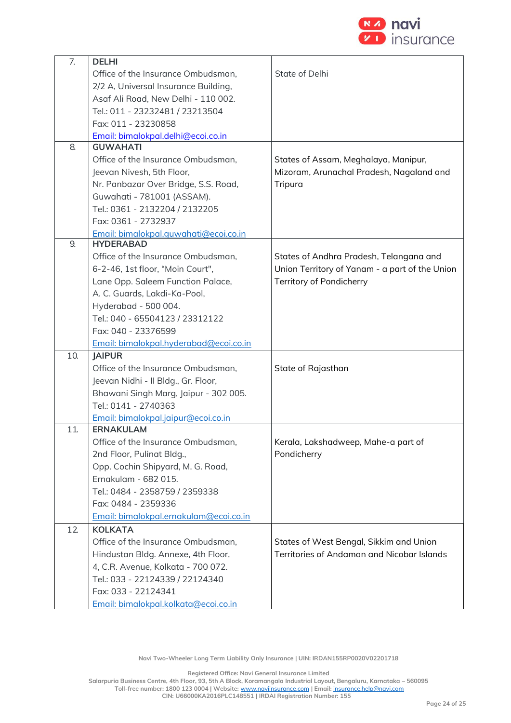

| 7.  | <b>DELHI</b>                           |                                                |
|-----|----------------------------------------|------------------------------------------------|
|     | Office of the Insurance Ombudsman,     | State of Delhi                                 |
|     | 2/2 A, Universal Insurance Building,   |                                                |
|     | Asaf Ali Road, New Delhi - 110 002.    |                                                |
|     | Tel.: 011 - 23232481 / 23213504        |                                                |
|     | Fax: 011 - 23230858                    |                                                |
|     | Email: bimalokpal.delhi@ecoi.co.in     |                                                |
| 8.  | <b>GUWAHATI</b>                        |                                                |
|     | Office of the Insurance Ombudsman,     | States of Assam, Meghalaya, Manipur,           |
|     | Jeevan Nivesh, 5th Floor,              | Mizoram, Arunachal Pradesh, Nagaland and       |
|     | Nr. Panbazar Over Bridge, S.S. Road,   | Tripura                                        |
|     | Guwahati - 781001 (ASSAM).             |                                                |
|     | Tel.: 0361 - 2132204 / 2132205         |                                                |
|     | Fax: 0361 - 2732937                    |                                                |
|     | Email: bimalokpal.quwahati@ecoi.co.in  |                                                |
| 9.  | <b>HYDERABAD</b>                       |                                                |
|     | Office of the Insurance Ombudsman,     | States of Andhra Pradesh, Telangana and        |
|     | 6-2-46, 1st floor, "Moin Court",       | Union Territory of Yanam - a part of the Union |
|     | Lane Opp. Saleem Function Palace,      | Territory of Pondicherry                       |
|     | A. C. Guards, Lakdi-Ka-Pool,           |                                                |
|     | Hyderabad - 500 004.                   |                                                |
|     | Tel.: 040 - 65504123 / 23312122        |                                                |
|     | Fax: 040 - 23376599                    |                                                |
|     | Email: bimalokpal.hyderabad@ecoi.co.in |                                                |
| 10. | <b>IAIPUR</b>                          |                                                |
|     | Office of the Insurance Ombudsman,     | State of Rajasthan                             |
|     | Jeevan Nidhi - Il Bldg., Gr. Floor,    |                                                |
|     | Bhawani Singh Marg, Jaipur - 302 005.  |                                                |
|     | Tel.: 0141 - 2740363                   |                                                |
|     | Email: bimalokpal.jaipur@ecoi.co.in    |                                                |
| 11. | <b>ERNAKULAM</b>                       |                                                |
|     | Office of the Insurance Ombudsman,     | Kerala, Lakshadweep, Mahe-a part of            |
|     | 2nd Floor, Pulinat Bldg.,              | Pondicherry                                    |
|     | Opp. Cochin Shipyard, M. G. Road,      |                                                |
|     | Ernakulam - 682 015.                   |                                                |
|     | Tel.: 0484 - 2358759 / 2359338         |                                                |
|     | Fax: 0484 - 2359336                    |                                                |
|     | Email: bimalokpal.ernakulam@ecoi.co.in |                                                |
| 12  | <b>KOLKATA</b>                         |                                                |
|     | Office of the Insurance Ombudsman,     | States of West Bengal, Sikkim and Union        |
|     | Hindustan Bldg. Annexe, 4th Floor,     | Territories of Andaman and Nicobar Islands     |
|     | 4, C.R. Avenue, Kolkata - 700 072.     |                                                |
|     | Tel.: 033 - 22124339 / 22124340        |                                                |
|     | Fax: 033 - 22124341                    |                                                |
|     | Email: bimalokpal.kolkata@ecoi.co.in   |                                                |

**Navi Two-Wheeler Long Term Liability Only Insurance | UIN: IRDAN155RP0020V02201718**

**Registered Office: Navi General Insurance Limited**

**Salarpuria Business Centre, 4th Floor, 93, 5th A Block, Koramangala Industrial Layout, Bengaluru, Karnataka – 560095 Toll-free number: 1800 123 0004 | Website:** [www.naviinsurance.com](http://www.naviinsurance.com/) **| Email:** [insurance.help@navi.com](mailto:insurance.help@navi.com)